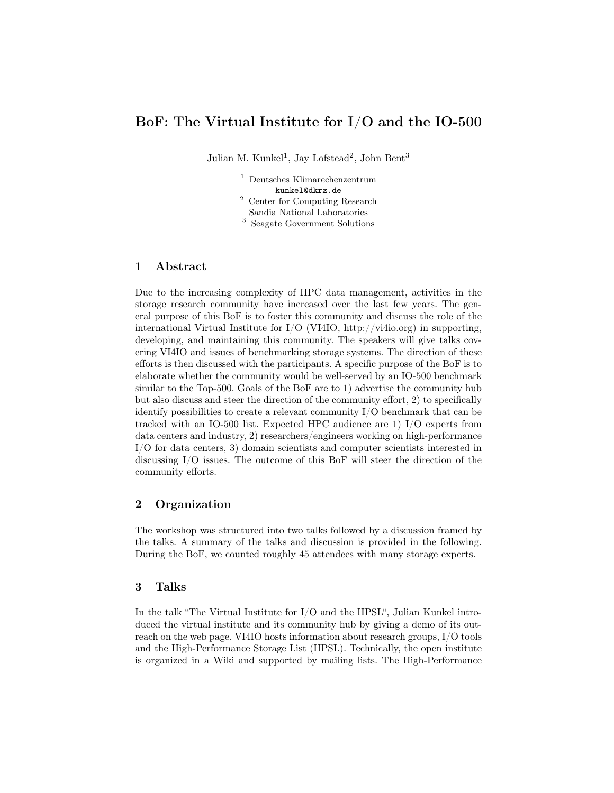# BoF: The Virtual Institute for I/O and the IO-500

Julian M. Kunkel<sup>1</sup>, Jay Lofstead<sup>2</sup>, John Bent<sup>3</sup>

- <sup>1</sup> Deutsches Klimarechenzentrum kunkel@dkrz.de
- <sup>2</sup> Center for Computing Research Sandia National Laboratories
- <sup>3</sup> Seagate Government Solutions

## 1 Abstract

Due to the increasing complexity of HPC data management, activities in the storage research community have increased over the last few years. The general purpose of this BoF is to foster this community and discuss the role of the international Virtual Institute for I/O (VI4IO, http://vi4io.org) in supporting, developing, and maintaining this community. The speakers will give talks covering VI4IO and issues of benchmarking storage systems. The direction of these efforts is then discussed with the participants. A specific purpose of the BoF is to elaborate whether the community would be well-served by an IO-500 benchmark similar to the Top-500. Goals of the BoF are to 1) advertise the community hub but also discuss and steer the direction of the community effort, 2) to specifically identify possibilities to create a relevant community  $I/O$  benchmark that can be tracked with an IO-500 list. Expected HPC audience are 1) I/O experts from data centers and industry, 2) researchers/engineers working on high-performance I/O for data centers, 3) domain scientists and computer scientists interested in discussing I/O issues. The outcome of this BoF will steer the direction of the community efforts.

## 2 Organization

The workshop was structured into two talks followed by a discussion framed by the talks. A summary of the talks and discussion is provided in the following. During the BoF, we counted roughly 45 attendees with many storage experts.

### 3 Talks

In the talk "The Virtual Institute for I/O and the HPSL", Julian Kunkel introduced the virtual institute and its community hub by giving a demo of its outreach on the web page. VI4IO hosts information about research groups, I/O tools and the High-Performance Storage List (HPSL). Technically, the open institute is organized in a Wiki and supported by mailing lists. The High-Performance